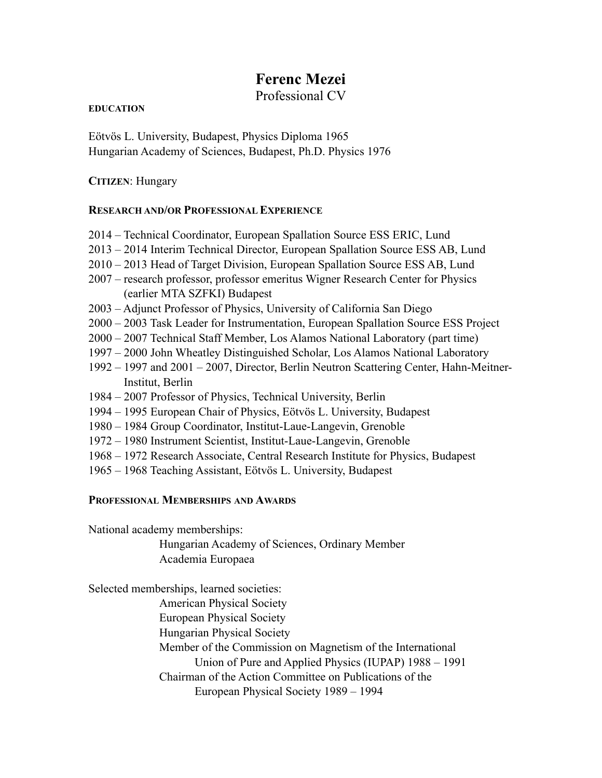# **Ferenc Mezei**

Professional CV

#### **EDUCATION**

Eötvös L. University, Budapest, Physics Diploma 1965 Hungarian Academy of Sciences, Budapest, Ph.D. Physics 1976

## **CITIZEN**: Hungary

## **RESEARCH AND/OR PROFESSIONAL EXPERIENCE**

- 2014 Technical Coordinator, European Spallation Source ESS ERIC, Lund
- 2013 2014 Interim Technical Director, European Spallation Source ESS AB, Lund
- 2010 2013 Head of Target Division, European Spallation Source ESS AB, Lund
- 2007 research professor, professor emeritus Wigner Research Center for Physics (earlier MTA SZFKI) Budapest
- 2003 Adjunct Professor of Physics, University of California San Diego
- 2000 2003 Task Leader for Instrumentation, European Spallation Source ESS Project
- 2000 2007 Technical Staff Member, Los Alamos National Laboratory (part time)
- 1997 2000 John Wheatley Distinguished Scholar, Los Alamos National Laboratory
- 1992 1997 and 2001 2007, Director, Berlin Neutron Scattering Center, Hahn-Meitner-Institut, Berlin
- 1984 2007 Professor of Physics, Technical University, Berlin
- 1994 1995 European Chair of Physics, Eötvös L. University, Budapest
- 1980 1984 Group Coordinator, Institut-Laue-Langevin, Grenoble
- 1972 1980 Instrument Scientist, Institut-Laue-Langevin, Grenoble
- 1968 1972 Research Associate, Central Research Institute for Physics, Budapest
- 1965 1968 Teaching Assistant, Eötvös L. University, Budapest

## **PROFESSIONAL MEMBERSHIPS AND AWARDS**

National academy memberships:

Hungarian Academy of Sciences, Ordinary Member Academia Europaea

Selected memberships, learned societies: American Physical Society European Physical Society Hungarian Physical Society Member of the Commission on Magnetism of the International Union of Pure and Applied Physics (IUPAP) 1988 – 1991 Chairman of the Action Committee on Publications of the European Physical Society 1989 – 1994